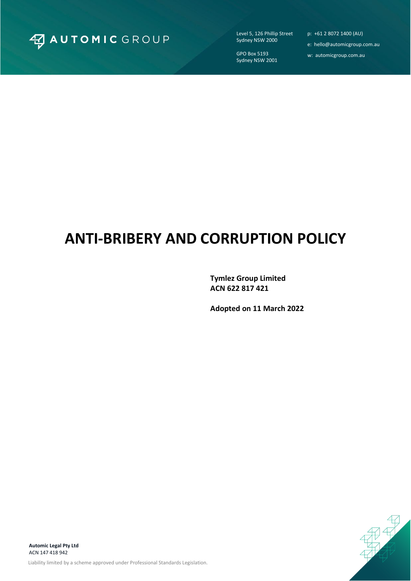

Level 5, 126 Phillip Street Sydney NSW 2000

GPO Box 5193 Sydney NSW 2001 p: +61 2 8072 1400 (AU)

- e: hello@automicgroup.com.au
- w: automicgroup.com.au

# **ANTI-BRIBERY AND CORRUPTION POLICY**

**Tymlez Group Limited ACN 622 817 421**

**Adopted on 11 March 2022**

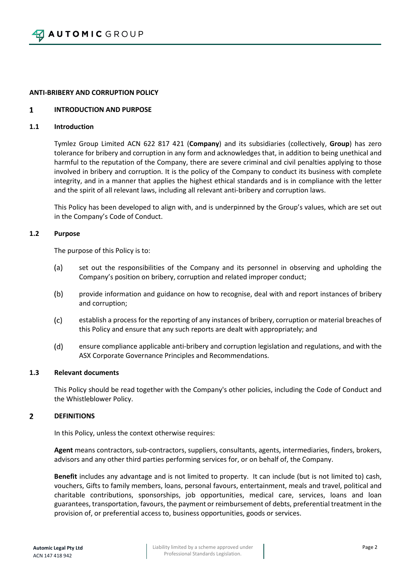### **ANTI-BRIBERY AND CORRUPTION POLICY**

#### $\mathbf{1}$ **INTRODUCTION AND PURPOSE**

# **1.1 Introduction**

Tymlez Group Limited ACN 622 817 421 (**Company**) and its subsidiaries (collectively, **Group**) has zero tolerance for bribery and corruption in any form and acknowledges that, in addition to being unethical and harmful to the reputation of the Company, there are severe criminal and civil penalties applying to those involved in bribery and corruption. It is the policy of the Company to conduct its business with complete integrity, and in a manner that applies the highest ethical standards and is in compliance with the letter and the spirit of all relevant laws, including all relevant anti-bribery and corruption laws.

This Policy has been developed to align with, and is underpinned by the Group's values, which are set out in the Company's Code of Conduct.

### **1.2 Purpose**

The purpose of this Policy is to:

- $(a)$ set out the responsibilities of the Company and its personnel in observing and upholding the Company's position on bribery, corruption and related improper conduct;
- $(b)$ provide information and guidance on how to recognise, deal with and report instances of bribery and corruption;
- $(c)$ establish a process for the reporting of any instances of bribery, corruption or material breaches of this Policy and ensure that any such reports are dealt with appropriately; and
- $(d)$ ensure compliance applicable anti-bribery and corruption legislation and regulations, and with the ASX Corporate Governance Principles and Recommendations.

### **1.3 Relevant documents**

This Policy should be read together with the Company's other policies, including the Code of Conduct and the Whistleblower Policy.

#### $\overline{2}$ **DEFINITIONS**

In this Policy, unless the context otherwise requires:

**Agent** means contractors, sub-contractors, suppliers, consultants, agents, intermediaries, finders, brokers, advisors and any other third parties performing services for, or on behalf of, the Company.

**Benefit** includes any advantage and is not limited to property. It can include (but is not limited to) cash, vouchers, Gifts to family members, loans, personal favours, entertainment, meals and travel, political and charitable contributions, sponsorships, job opportunities, medical care, services, loans and loan guarantees, transportation, favours, the payment or reimbursement of debts, preferential treatment in the provision of, or preferential access to, business opportunities, goods or services.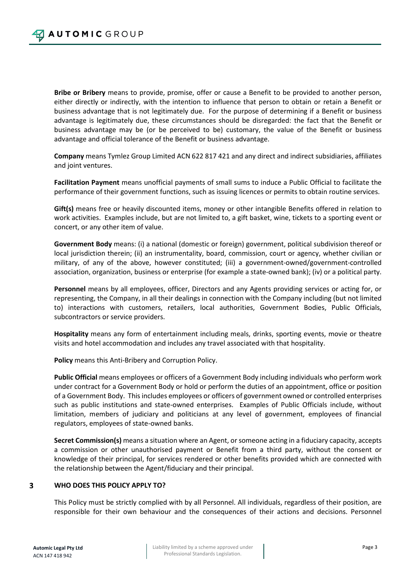**Bribe or Bribery** means to provide, promise, offer or cause a Benefit to be provided to another person, either directly or indirectly, with the intention to influence that person to obtain or retain a Benefit or business advantage that is not legitimately due. For the purpose of determining if a Benefit or business advantage is legitimately due, these circumstances should be disregarded: the fact that the Benefit or business advantage may be (or be perceived to be) customary, the value of the Benefit or business advantage and official tolerance of the Benefit or business advantage.

**Company** means Tymlez Group Limited ACN 622 817 421 and any direct and indirect subsidiaries, affiliates and joint ventures.

**Facilitation Payment** means unofficial payments of small sums to induce a Public Official to facilitate the performance of their government functions, such as issuing licences or permits to obtain routine services.

**Gift(s)** means free or heavily discounted items, money or other intangible Benefits offered in relation to work activities. Examples include, but are not limited to, a gift basket, wine, tickets to a sporting event or concert, or any other item of value.

**Government Body** means: (i) a national (domestic or foreign) government, political subdivision thereof or local jurisdiction therein; (ii) an instrumentality, board, commission, court or agency, whether civilian or military, of any of the above, however constituted; (iii) a government-owned/government-controlled association, organization, business or enterprise (for example a state-owned bank); (iv) or a political party.

**Personnel** means by all employees, officer, Directors and any Agents providing services or acting for, or representing, the Company, in all their dealings in connection with the Company including (but not limited to) interactions with customers, retailers, local authorities, Government Bodies, Public Officials, subcontractors or service providers.

**Hospitality** means any form of entertainment including meals, drinks, sporting events, movie or theatre visits and hotel accommodation and includes any travel associated with that hospitality.

**Policy** means this Anti-Bribery and Corruption Policy.

**Public Official** means employees or officers of a Government Body including individuals who perform work under contract for a Government Body or hold or perform the duties of an appointment, office or position of a Government Body. This includes employees or officers of government owned or controlled enterprises such as public institutions and state-owned enterprises. Examples of Public Officials include, without limitation, members of judiciary and politicians at any level of government, employees of financial regulators, employees of state-owned banks.

**Secret Commission(s)** means a situation where an Agent, or someone acting in a fiduciary capacity, accepts a commission or other unauthorised payment or Benefit from a third party, without the consent or knowledge of their principal, for services rendered or other benefits provided which are connected with the relationship between the Agent/fiduciary and their principal.

### 3 **WHO DOES THIS POLICY APPLY TO?**

This Policy must be strictly complied with by all Personnel. All individuals, regardless of their position, are responsible for their own behaviour and the consequences of their actions and decisions. Personnel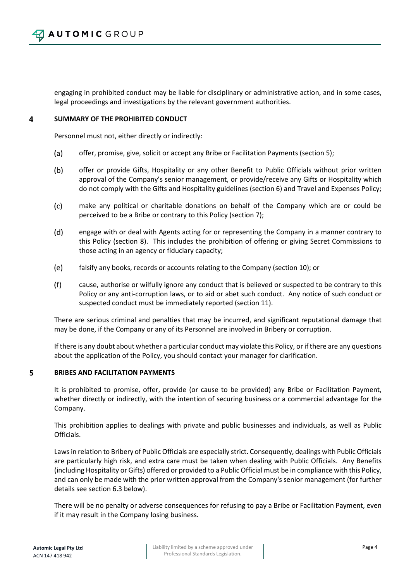engaging in prohibited conduct may be liable for disciplinary or administrative action, and in some cases, legal proceedings and investigations by the relevant government authorities.

### $\overline{4}$ **SUMMARY OF THE PROHIBITED CONDUCT**

Personnel must not, either directly or indirectly:

- $(a)$ offer, promise, give, solicit or accept any Bribe or Facilitation Payments (section 5);
- $(b)$ offer or provide Gifts, Hospitality or any other Benefit to Public Officials without prior written approval of the Company's senior management, or provide/receive any Gifts or Hospitality which do not comply with the Gifts and Hospitality guidelines (section 6) and Travel and Expenses Policy;
- $(c)$ make any political or charitable donations on behalf of the Company which are or could be perceived to be a Bribe or contrary to this Policy (section 7);
- $(d)$ engage with or deal with Agents acting for or representing the Company in a manner contrary to this Policy (section 8). This includes the prohibition of offering or giving Secret Commissions to those acting in an agency or fiduciary capacity;
- $(e)$ falsify any books, records or accounts relating to the Company (section 10); or
- $(f)$ cause, authorise or wilfully ignore any conduct that is believed or suspected to be contrary to this Policy or any anti-corruption laws, or to aid or abet such conduct. Any notice of such conduct or suspected conduct must be immediately reported (section 11).

There are serious criminal and penalties that may be incurred, and significant reputational damage that may be done, if the Company or any of its Personnel are involved in Bribery or corruption.

If there is any doubt about whether a particular conduct may violate this Policy, or if there are any questions about the application of the Policy, you should contact your manager for clarification.

### 5 **BRIBES AND FACILITATION PAYMENTS**

It is prohibited to promise, offer, provide (or cause to be provided) any Bribe or Facilitation Payment, whether directly or indirectly, with the intention of securing business or a commercial advantage for the Company.

This prohibition applies to dealings with private and public businesses and individuals, as well as Public Officials.

Laws in relation to Bribery of Public Officials are especially strict. Consequently, dealings with Public Officials are particularly high risk, and extra care must be taken when dealing with Public Officials. Any Benefits (including Hospitality or Gifts) offered or provided to a Public Official must be in compliance with this Policy, and can only be made with the prior written approval from the Company's senior management (for further details see section 6.3 below).

There will be no penalty or adverse consequences for refusing to pay a Bribe or Facilitation Payment, even if it may result in the Company losing business.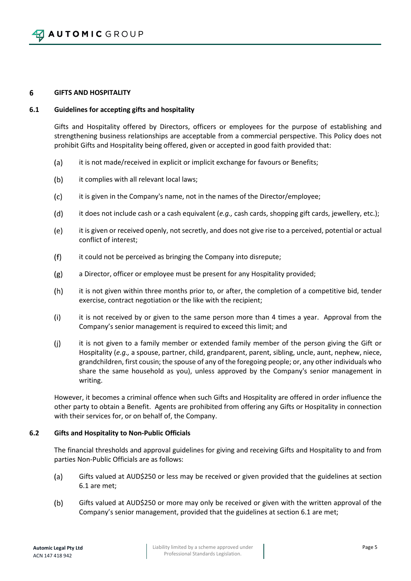### 6 **GIFTS AND HOSPITALITY**

# **6.1 Guidelines for accepting gifts and hospitality**

Gifts and Hospitality offered by Directors, officers or employees for the purpose of establishing and strengthening business relationships are acceptable from a commercial perspective. This Policy does not prohibit Gifts and Hospitality being offered, given or accepted in good faith provided that:

- $(a)$ it is not made/received in explicit or implicit exchange for favours or Benefits;
- $(b)$ it complies with all relevant local laws;
- $(c)$ it is given in the Company's name, not in the names of the Director/employee;
- $(d)$ it does not include cash or a cash equivalent (*e.g.,* cash cards, shopping gift cards, jewellery, etc.);
- $(e)$ it is given or received openly, not secretly, and does not give rise to a perceived, potential or actual conflict of interest;
- $(f)$ it could not be perceived as bringing the Company into disrepute;
- $(g)$ a Director, officer or employee must be present for any Hospitality provided;
- $(h)$ it is not given within three months prior to, or after, the completion of a competitive bid, tender exercise, contract negotiation or the like with the recipient;
- $(i)$ it is not received by or given to the same person more than 4 times a year. Approval from the Company's senior management is required to exceed this limit; and
- $(i)$ it is not given to a family member or extended family member of the person giving the Gift or Hospitality (*e.g.,* a spouse, partner, child, grandparent, parent, sibling, uncle, aunt, nephew, niece, grandchildren, first cousin; the spouse of any of the foregoing people; or, any other individuals who share the same household as you), unless approved by the Company's senior management in writing.

However, it becomes a criminal offence when such Gifts and Hospitality are offered in order influence the other party to obtain a Benefit. Agents are prohibited from offering any Gifts or Hospitality in connection with their services for, or on behalf of, the Company.

# **6.2 Gifts and Hospitality to Non-Public Officials**

The financial thresholds and approval guidelines for giving and receiving Gifts and Hospitality to and from parties Non-Public Officials are as follows:

- $(a)$ Gifts valued at AUD\$250 or less may be received or given provided that the guidelines at section 6.1 are met;
- $(b)$ Gifts valued at AUD\$250 or more may only be received or given with the written approval of the Company's senior management, provided that the guidelines at section 6.1 are met;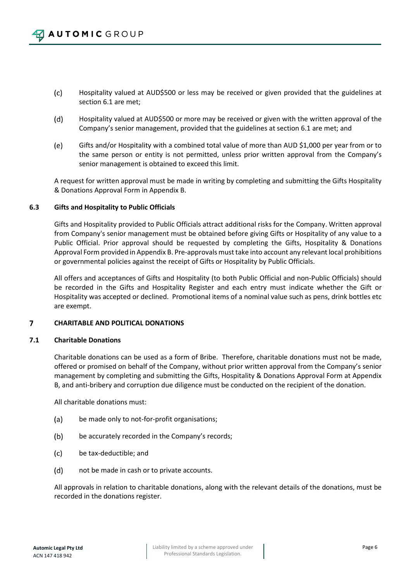- $(c)$ Hospitality valued at AUD\$500 or less may be received or given provided that the guidelines at section 6.1 are met;
- $(d)$ Hospitality valued at AUD\$500 or more may be received or given with the written approval of the Company's senior management, provided that the guidelines at section 6.1 are met; and
- (e) Gifts and/or Hospitality with a combined total value of more than AUD \$1,000 per year from or to the same person or entity is not permitted, unless prior written approval from the Company's senior management is obtained to exceed this limit.

A request for written approval must be made in writing by completing and submitting the Gifts Hospitality & Donations Approval Form in Appendix B.

# **6.3 Gifts and Hospitality to Public Officials**

Gifts and Hospitality provided to Public Officials attract additional risks for the Company. Written approval from Company's senior management must be obtained before giving Gifts or Hospitality of any value to a Public Official. Prior approval should be requested by completing the Gifts, Hospitality & Donations Approval Form provided in Appendix B. Pre-approvals must take into account any relevant local prohibitions or governmental policies against the receipt of Gifts or Hospitality by Public Officials.

All offers and acceptances of Gifts and Hospitality (to both Public Official and non-Public Officials) should be recorded in the Gifts and Hospitality Register and each entry must indicate whether the Gift or Hospitality was accepted or declined. Promotional items of a nominal value such as pens, drink bottles etc are exempt.

### $\overline{\mathbf{z}}$ **CHARITABLE AND POLITICAL DONATIONS**

# **7.1 Charitable Donations**

Charitable donations can be used as a form of Bribe. Therefore, charitable donations must not be made, offered or promised on behalf of the Company, without prior written approval from the Company's senior management by completing and submitting the Gifts, Hospitality & Donations Approval Form at Appendix B, and anti-bribery and corruption due diligence must be conducted on the recipient of the donation.

All charitable donations must:

- $(a)$ be made only to not-for-profit organisations;
- $(b)$ be accurately recorded in the Company's records;
- $(c)$ be tax-deductible; and
- $(d)$ not be made in cash or to private accounts.

All approvals in relation to charitable donations, along with the relevant details of the donations, must be recorded in the donations register.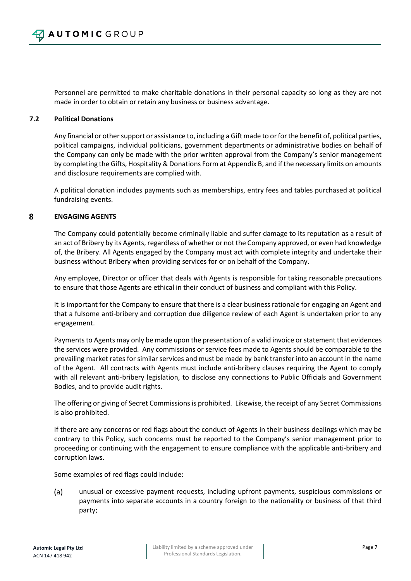Personnel are permitted to make charitable donations in their personal capacity so long as they are not made in order to obtain or retain any business or business advantage.

# **7.2 Political Donations**

Any financial or other support or assistance to, including a Gift made to or for the benefit of, political parties, political campaigns, individual politicians, government departments or administrative bodies on behalf of the Company can only be made with the prior written approval from the Company's senior management by completing the Gifts, Hospitality & Donations Form at Appendix B, and if the necessary limits on amounts and disclosure requirements are complied with.

A political donation includes payments such as memberships, entry fees and tables purchased at political fundraising events.

### 8 **ENGAGING AGENTS**

The Company could potentially become criminally liable and suffer damage to its reputation as a result of an act of Bribery by its Agents, regardless of whether or not the Company approved, or even had knowledge of, the Bribery. All Agents engaged by the Company must act with complete integrity and undertake their business without Bribery when providing services for or on behalf of the Company.

Any employee, Director or officer that deals with Agents is responsible for taking reasonable precautions to ensure that those Agents are ethical in their conduct of business and compliant with this Policy.

It is important for the Company to ensure that there is a clear business rationale for engaging an Agent and that a fulsome anti-bribery and corruption due diligence review of each Agent is undertaken prior to any engagement.

Payments to Agents may only be made upon the presentation of a valid invoice or statement that evidences the services were provided. Any commissions or service fees made to Agents should be comparable to the prevailing market rates for similar services and must be made by bank transfer into an account in the name of the Agent. All contracts with Agents must include anti-bribery clauses requiring the Agent to comply with all relevant anti-bribery legislation, to disclose any connections to Public Officials and Government Bodies, and to provide audit rights.

The offering or giving of Secret Commissions is prohibited. Likewise, the receipt of any Secret Commissions is also prohibited.

If there are any concerns or red flags about the conduct of Agents in their business dealings which may be contrary to this Policy, such concerns must be reported to the Company's senior management prior to proceeding or continuing with the engagement to ensure compliance with the applicable anti-bribery and corruption laws.

Some examples of red flags could include:

 $(a)$ unusual or excessive payment requests, including upfront payments, suspicious commissions or payments into separate accounts in a country foreign to the nationality or business of that third party;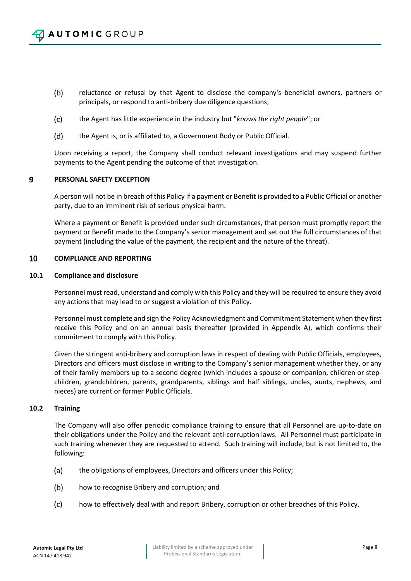- $(b)$ reluctance or refusal by that Agent to disclose the company's beneficial owners, partners or principals, or respond to anti-bribery due diligence questions;
- $(c)$ the Agent has little experience in the industry but "*knows the right people*"; or
- $(d)$ the Agent is, or is affiliated to, a Government Body or Public Official.

Upon receiving a report, the Company shall conduct relevant investigations and may suspend further payments to the Agent pending the outcome of that investigation.

#### 9 **PERSONAL SAFETY EXCEPTION**

A person will not be in breach of this Policy if a payment or Benefit is provided to a Public Official or another party, due to an imminent risk of serious physical harm.

Where a payment or Benefit is provided under such circumstances, that person must promptly report the payment or Benefit made to the Company's senior management and set out the full circumstances of that payment (including the value of the payment, the recipient and the nature of the threat).

#### 10 **COMPLIANCE AND REPORTING**

### **10.1 Compliance and disclosure**

Personnel must read, understand and comply with this Policy and they will be required to ensure they avoid any actions that may lead to or suggest a violation of this Policy.

Personnel must complete and sign the Policy Acknowledgment and Commitment Statement when they first receive this Policy and on an annual basis thereafter (provided in Appendix A), which confirms their commitment to comply with this Policy.

Given the stringent anti-bribery and corruption laws in respect of dealing with Public Officials, employees, Directors and officers must disclose in writing to the Company's senior management whether they, or any of their family members up to a second degree (which includes a spouse or companion, children or stepchildren, grandchildren, parents, grandparents, siblings and half siblings, uncles, aunts, nephews, and nieces) are current or former Public Officials.

### **10.2 Training**

The Company will also offer periodic compliance training to ensure that all Personnel are up-to-date on their obligations under the Policy and the relevant anti-corruption laws. All Personnel must participate in such training whenever they are requested to attend. Such training will include, but is not limited to, the following:

- (a) the obligations of employees, Directors and officers under this Policy;
- $(b)$ how to recognise Bribery and corruption; and
- $(c)$ how to effectively deal with and report Bribery, corruption or other breaches of this Policy.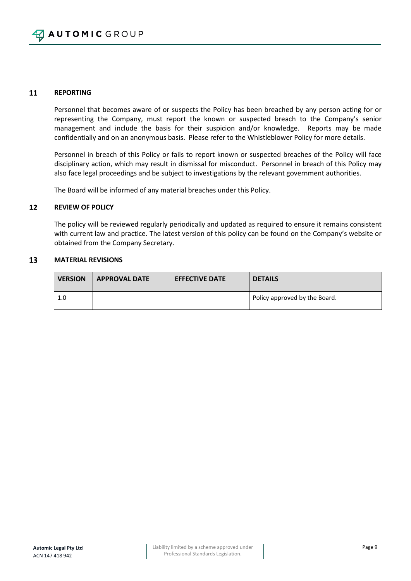### 11 **REPORTING**

Personnel that becomes aware of or suspects the Policy has been breached by any person acting for or representing the Company, must report the known or suspected breach to the Company's senior management and include the basis for their suspicion and/or knowledge. Reports may be made confidentially and on an anonymous basis. Please refer to the Whistleblower Policy for more details.

Personnel in breach of this Policy or fails to report known or suspected breaches of the Policy will face disciplinary action, which may result in dismissal for misconduct. Personnel in breach of this Policy may also face legal proceedings and be subject to investigations by the relevant government authorities.

The Board will be informed of any material breaches under this Policy.

### **REVIEW OF POLICY** 12

The policy will be reviewed regularly periodically and updated as required to ensure it remains consistent with current law and practice. The latest version of this policy can be found on the Company's website or obtained from the Company Secretary.

#### 13 **MATERIAL REVISIONS**

| <b>VERSION</b> | <b>APPROVAL DATE</b> | <b>EFFECTIVE DATE</b> | <b>DETAILS</b>                |
|----------------|----------------------|-----------------------|-------------------------------|
| 1.0            |                      |                       | Policy approved by the Board. |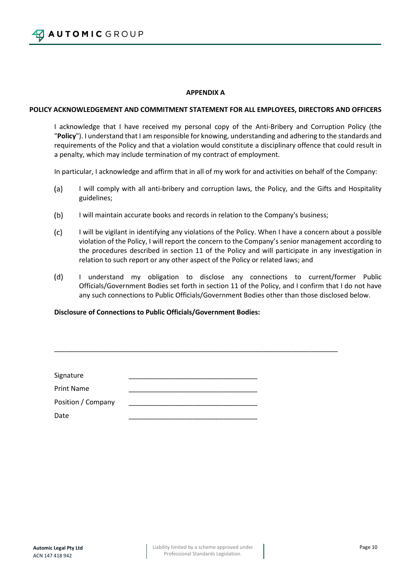**AUTOMIC GROUP** 

# **APPENDIX A**

# **POLICY ACKNOWLEDGEMENT AND COMMITMENT STATEMENT FOR ALL EMPLOYEES, DIRECTORS AND OFFICERS**

I acknowledge that I have received my personal copy of the Anti-Bribery and Corruption Policy (the "**Policy**"). I understand that I am responsible for knowing, understanding and adhering to the standards and requirements of the Policy and that a violation would constitute a disciplinary offence that could result in a penalty, which may include termination of my contract of employment.

In particular, I acknowledge and affirm that in all of my work for and activities on behalf of the Company:

- $(a)$ I will comply with all anti-bribery and corruption laws, the Policy, and the Gifts and Hospitality guidelines;
- $(b)$ I will maintain accurate books and records in relation to the Company's business;

\_\_\_\_\_\_\_\_\_\_\_\_\_\_\_\_\_\_\_\_\_\_\_\_\_\_\_\_\_\_\_\_\_\_\_\_\_\_\_\_\_\_\_\_\_\_\_\_\_\_\_\_\_\_\_\_\_\_\_\_\_\_\_\_\_\_\_\_\_\_\_\_\_\_\_

- $(c)$ I will be vigilant in identifying any violations of the Policy. When I have a concern about a possible violation of the Policy, I will report the concern to the Company's senior management according to the procedures described in section 11 of the Policy and will participate in any investigation in relation to such report or any other aspect of the Policy or related laws; and
- $(d)$ I understand my obligation to disclose any connections to current/former Public Officials/Government Bodies set forth in section 11 of the Policy, and I confirm that I do not have any such connections to Public Officials/Government Bodies other than those disclosed below.

# **Disclosure of Connections to Public Officials/Government Bodies:**

| Signature          |  |
|--------------------|--|
| <b>Print Name</b>  |  |
| Position / Company |  |
| Date               |  |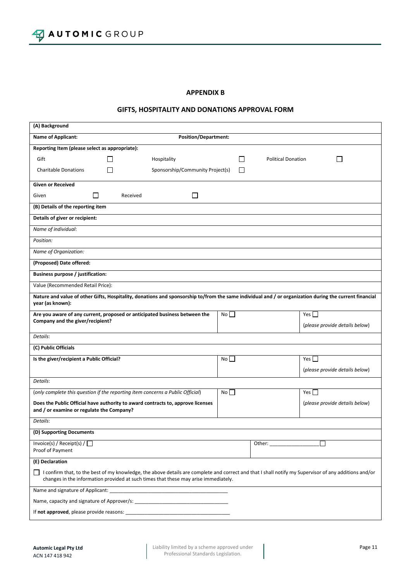### **APPENDIX B**

# **GIFTS, HOSPITALITY AND DONATIONS APPROVAL FORM**

| (A) Background                                                                                                                                                                                                                               |    |                |                                                                                                                                                                                                                                                                                                                                                                                                              |  |  |  |  |
|----------------------------------------------------------------------------------------------------------------------------------------------------------------------------------------------------------------------------------------------|----|----------------|--------------------------------------------------------------------------------------------------------------------------------------------------------------------------------------------------------------------------------------------------------------------------------------------------------------------------------------------------------------------------------------------------------------|--|--|--|--|
| <b>Name of Applicant:</b><br><b>Position/Department:</b>                                                                                                                                                                                     |    |                |                                                                                                                                                                                                                                                                                                                                                                                                              |  |  |  |  |
| Reporting Item (please select as appropriate):                                                                                                                                                                                               |    |                |                                                                                                                                                                                                                                                                                                                                                                                                              |  |  |  |  |
| Gift<br>Hospitality                                                                                                                                                                                                                          |    | $\blacksquare$ | <b>Political Donation</b><br>$\mathsf{L}$                                                                                                                                                                                                                                                                                                                                                                    |  |  |  |  |
| Sponsorship/Community Project(s)<br><b>Charitable Donations</b>                                                                                                                                                                              |    |                |                                                                                                                                                                                                                                                                                                                                                                                                              |  |  |  |  |
| <b>Given or Received</b>                                                                                                                                                                                                                     |    |                |                                                                                                                                                                                                                                                                                                                                                                                                              |  |  |  |  |
| $\mathsf{L}$<br>Given<br>Received                                                                                                                                                                                                            |    |                |                                                                                                                                                                                                                                                                                                                                                                                                              |  |  |  |  |
| (B) Details of the reporting item                                                                                                                                                                                                            |    |                |                                                                                                                                                                                                                                                                                                                                                                                                              |  |  |  |  |
| Details of giver or recipient:                                                                                                                                                                                                               |    |                |                                                                                                                                                                                                                                                                                                                                                                                                              |  |  |  |  |
| Name of individual:                                                                                                                                                                                                                          |    |                |                                                                                                                                                                                                                                                                                                                                                                                                              |  |  |  |  |
| Position:                                                                                                                                                                                                                                    |    |                |                                                                                                                                                                                                                                                                                                                                                                                                              |  |  |  |  |
| Name of Organization:                                                                                                                                                                                                                        |    |                |                                                                                                                                                                                                                                                                                                                                                                                                              |  |  |  |  |
| (Proposed) Date offered:                                                                                                                                                                                                                     |    |                |                                                                                                                                                                                                                                                                                                                                                                                                              |  |  |  |  |
| <b>Business purpose / justification:</b>                                                                                                                                                                                                     |    |                |                                                                                                                                                                                                                                                                                                                                                                                                              |  |  |  |  |
| Value (Recommended Retail Price):                                                                                                                                                                                                            |    |                |                                                                                                                                                                                                                                                                                                                                                                                                              |  |  |  |  |
| Nature and value of other Gifts, Hospitality, donations and sponsorship to/from the same individual and / or organization during the current financial<br>year (as known):                                                                   |    |                |                                                                                                                                                                                                                                                                                                                                                                                                              |  |  |  |  |
| Are you aware of any current, proposed or anticipated business between the                                                                                                                                                                   | No |                | Yes                                                                                                                                                                                                                                                                                                                                                                                                          |  |  |  |  |
| Company and the giver/recipient?                                                                                                                                                                                                             |    |                | (please provide details below)                                                                                                                                                                                                                                                                                                                                                                               |  |  |  |  |
| Details:                                                                                                                                                                                                                                     |    |                |                                                                                                                                                                                                                                                                                                                                                                                                              |  |  |  |  |
| (C) Public Officials                                                                                                                                                                                                                         |    |                |                                                                                                                                                                                                                                                                                                                                                                                                              |  |  |  |  |
| Is the giver/recipient a Public Official?                                                                                                                                                                                                    | No |                | $Yes$ $\Box$                                                                                                                                                                                                                                                                                                                                                                                                 |  |  |  |  |
|                                                                                                                                                                                                                                              |    |                | (please provide details below)                                                                                                                                                                                                                                                                                                                                                                               |  |  |  |  |
| Details:                                                                                                                                                                                                                                     |    |                |                                                                                                                                                                                                                                                                                                                                                                                                              |  |  |  |  |
| (only complete this question if the reporting item concerns a Public Official)                                                                                                                                                               | No |                | Yes $\Box$                                                                                                                                                                                                                                                                                                                                                                                                   |  |  |  |  |
| Does the Public Official have authority to award contracts to, approve licenses<br>and / or examine or regulate the Company?                                                                                                                 |    |                | (please provide details below)                                                                                                                                                                                                                                                                                                                                                                               |  |  |  |  |
| Details:                                                                                                                                                                                                                                     |    |                |                                                                                                                                                                                                                                                                                                                                                                                                              |  |  |  |  |
| (D) Supporting Documents                                                                                                                                                                                                                     |    |                |                                                                                                                                                                                                                                                                                                                                                                                                              |  |  |  |  |
| Invoice(s) / Receipt(s) / $\Box$<br>Proof of Payment                                                                                                                                                                                         |    |                | Other: $\frac{1}{\sqrt{1-\frac{1}{2}}\sqrt{1-\frac{1}{2}}\sqrt{1-\frac{1}{2}}\sqrt{1-\frac{1}{2}}\sqrt{1-\frac{1}{2}}\sqrt{1-\frac{1}{2}}\sqrt{1-\frac{1}{2}}\sqrt{1-\frac{1}{2}}\sqrt{1-\frac{1}{2}}\sqrt{1-\frac{1}{2}}\sqrt{1-\frac{1}{2}}\sqrt{1-\frac{1}{2}}\sqrt{1-\frac{1}{2}}\sqrt{1-\frac{1}{2}}\sqrt{1-\frac{1}{2}}\sqrt{1-\frac{1}{2}}\sqrt{1-\frac{1}{2}}\sqrt{1-\frac{1}{2}}\sqrt{1-\frac{1}{2$ |  |  |  |  |
| (E) Declaration                                                                                                                                                                                                                              |    |                |                                                                                                                                                                                                                                                                                                                                                                                                              |  |  |  |  |
| I confirm that, to the best of my knowledge, the above details are complete and correct and that I shall notify my Supervisor of any additions and/or<br>changes in the information provided at such times that these may arise immediately. |    |                |                                                                                                                                                                                                                                                                                                                                                                                                              |  |  |  |  |
| Name and signature of Applicant: __                                                                                                                                                                                                          |    |                |                                                                                                                                                                                                                                                                                                                                                                                                              |  |  |  |  |
|                                                                                                                                                                                                                                              |    |                |                                                                                                                                                                                                                                                                                                                                                                                                              |  |  |  |  |
|                                                                                                                                                                                                                                              |    |                |                                                                                                                                                                                                                                                                                                                                                                                                              |  |  |  |  |